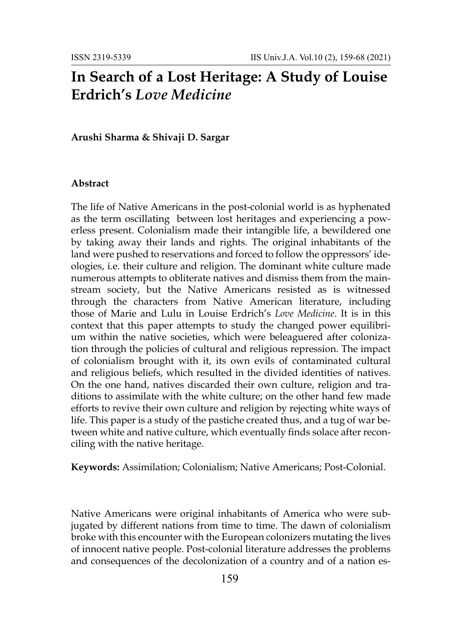# **In Search of a Lost Heritage: A Study of Louise Erdrich's** *Love Medicine*

**Arushi Sharma & Shivaji D. Sargar**

### **Abstract**

The life of Native Americans in the post-colonial world is as hyphenated as the term oscillating between lost heritages and experiencing a powerless present. Colonialism made their intangible life, a bewildered one by taking away their lands and rights. The original inhabitants of the land were pushed to reservations and forced to follow the oppressors' ideologies, i.e. their culture and religion. The dominant white culture made numerous attempts to obliterate natives and dismiss them from the mainstream society, but the Native Americans resisted as is witnessed through the characters from Native American literature, including those of Marie and Lulu in Louise Erdrich's *Love Medicine*. It is in this context that this paper attempts to study the changed power equilibrium within the native societies, which were beleaguered after colonization through the policies of cultural and religious repression. The impact of colonialism brought with it, its own evils of contaminated cultural and religious beliefs, which resulted in the divided identities of natives. On the one hand, natives discarded their own culture, religion and traditions to assimilate with the white culture; on the other hand few made efforts to revive their own culture and religion by rejecting white ways of life. This paper is a study of the pastiche created thus, and a tug of war between white and native culture, which eventually finds solace after reconciling with the native heritage.

**Keywords:** Assimilation; Colonialism; Native Americans; Post-Colonial.

Native Americans were original inhabitants of America who were subjugated by different nations from time to time. The dawn of colonialism broke with this encounter with the European colonizers mutating the lives of innocent native people. Post-colonial literature addresses the problems and consequences of the decolonization of a country and of a nation es-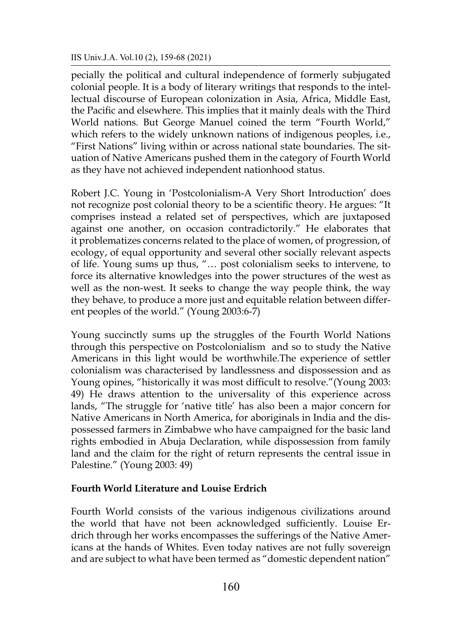### IIS Univ.J.A. Vol.10 (2), 159-68 (2021)

pecially the political and cultural independence of formerly subjugated colonial people. It is a body of literary writings that responds to the intellectual discourse of European colonization in Asia, Africa, Middle East, the Pacific and elsewhere. This implies that it mainly deals with the Third World nations. But George Manuel coined the term "Fourth World," which refers to the widely unknown nations of indigenous peoples, i.e., "First Nations" living within or across national state boundaries. The situation of Native Americans pushed them in the category of Fourth World as they have not achieved independent nationhood status.

Robert J.C. Young in 'Postcolonialism-A Very Short Introduction' does not recognize post colonial theory to be a scientific theory. He argues: "It comprises instead a related set of perspectives, which are juxtaposed against one another, on occasion contradictorily." He elaborates that it problematizes concerns related to the place of women, of progression, of ecology, of equal opportunity and several other socially relevant aspects of life. Young sums up thus, "… post colonialism seeks to intervene, to force its alternative knowledges into the power structures of the west as well as the non-west. It seeks to change the way people think, the way they behave, to produce a more just and equitable relation between different peoples of the world." (Young 2003:6-7)

Young succinctly sums up the struggles of the Fourth World Nations through this perspective on Postcolonialism and so to study the Native Americans in this light would be worthwhile.The experience of settler colonialism was characterised by landlessness and dispossession and as Young opines, "historically it was most difficult to resolve."(Young 2003: 49) He draws attention to the universality of this experience across lands, "The struggle for 'native title' has also been a major concern for Native Americans in North America, for aboriginals in India and the dispossessed farmers in Zimbabwe who have campaigned for the basic land rights embodied in Abuja Declaration, while dispossession from family land and the claim for the right of return represents the central issue in Palestine." (Young 2003: 49)

### **Fourth World Literature and Louise Erdrich**

Fourth World consists of the various indigenous civilizations around the world that have not been acknowledged sufficiently. Louise Erdrich through her works encompasses the sufferings of the Native Americans at the hands of Whites. Even today natives are not fully sovereign and are subject to what have been termed as "domestic dependent nation"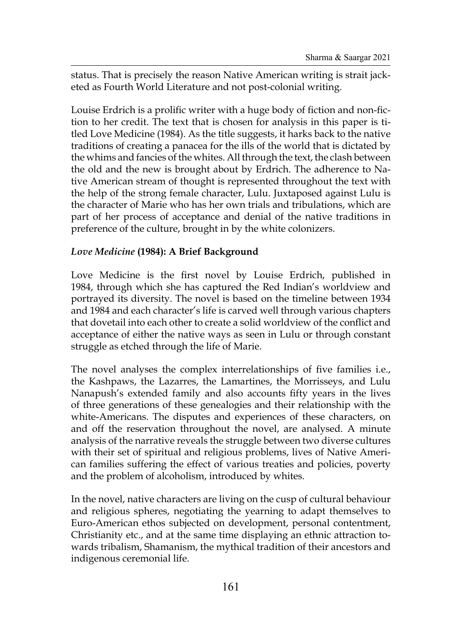status. That is precisely the reason Native American writing is strait jacketed as Fourth World Literature and not post-colonial writing.

Louise Erdrich is a prolific writer with a huge body of fiction and non-fiction to her credit. The text that is chosen for analysis in this paper is titled Love Medicine (1984). As the title suggests, it harks back to the native traditions of creating a panacea for the ills of the world that is dictated by the whims and fancies of the whites. All through the text, the clash between the old and the new is brought about by Erdrich. The adherence to Native American stream of thought is represented throughout the text with the help of the strong female character, Lulu. Juxtaposed against Lulu is the character of Marie who has her own trials and tribulations, which are part of her process of acceptance and denial of the native traditions in preference of the culture, brought in by the white colonizers.

# *Love Medicine* **(1984): A Brief Background**

Love Medicine is the first novel by Louise Erdrich, published in 1984, through which she has captured the Red Indian's worldview and portrayed its diversity. The novel is based on the timeline between 1934 and 1984 and each character's life is carved well through various chapters that dovetail into each other to create a solid worldview of the conflict and acceptance of either the native ways as seen in Lulu or through constant struggle as etched through the life of Marie.

The novel analyses the complex interrelationships of five families i.e., the Kashpaws, the Lazarres, the Lamartines, the Morrisseys, and Lulu Nanapush's extended family and also accounts fifty years in the lives of three generations of these genealogies and their relationship with the white-Americans. The disputes and experiences of these characters, on and off the reservation throughout the novel, are analysed. A minute analysis of the narrative reveals the struggle between two diverse cultures with their set of spiritual and religious problems, lives of Native American families suffering the effect of various treaties and policies, poverty and the problem of alcoholism, introduced by whites.

In the novel, native characters are living on the cusp of cultural behaviour and religious spheres, negotiating the yearning to adapt themselves to Euro-American ethos subjected on development, personal contentment, Christianity etc., and at the same time displaying an ethnic attraction towards tribalism, Shamanism, the mythical tradition of their ancestors and indigenous ceremonial life.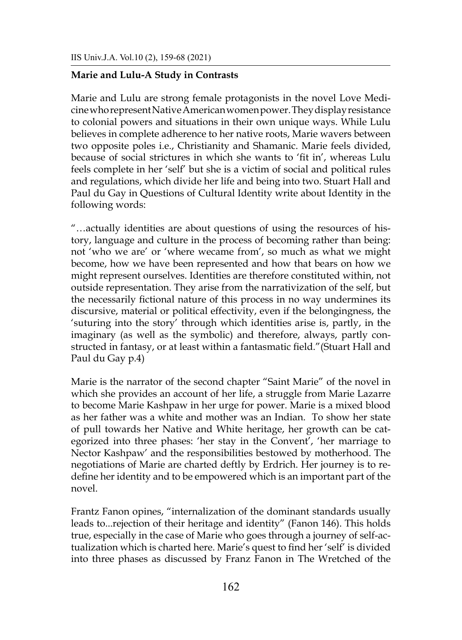## **Marie and Lulu-A Study in Contrasts**

Marie and Lulu are strong female protagonists in the novel Love Medicinewho represent Native American women power. They displayresistance to colonial powers and situations in their own unique ways. While Lulu believes in complete adherence to her native roots, Marie wavers between two opposite poles i.e., Christianity and Shamanic. Marie feels divided, because of social strictures in which she wants to 'fit in', whereas Lulu feels complete in her 'self' but she is a victim of social and political rules and regulations, which divide her life and being into two. Stuart Hall and Paul du Gay in Questions of Cultural Identity write about Identity in the following words:

"…actually identities are about questions of using the resources of history, language and culture in the process of becoming rather than being: not 'who we are' or 'where wecame from', so much as what we might become, how we have been represented and how that bears on how we might represent ourselves. Identities are therefore constituted within, not outside representation. They arise from the narrativization of the self, but the necessarily fictional nature of this process in no way undermines its discursive, material or political effectivity, even if the belongingness, the 'suturing into the story' through which identities arise is, partly, in the imaginary (as well as the symbolic) and therefore, always, partly constructed in fantasy, or at least within a fantasmatic field."(Stuart Hall and Paul du Gay p.4)

Marie is the narrator of the second chapter "Saint Marie" of the novel in which she provides an account of her life, a struggle from Marie Lazarre to become Marie Kashpaw in her urge for power. Marie is a mixed blood as her father was a white and mother was an Indian. To show her state of pull towards her Native and White heritage, her growth can be categorized into three phases: 'her stay in the Convent', 'her marriage to Nector Kashpaw' and the responsibilities bestowed by motherhood. The negotiations of Marie are charted deftly by Erdrich. Her journey is to redefine her identity and to be empowered which is an important part of the novel.

Frantz Fanon opines, "internalization of the dominant standards usually leads to...rejection of their heritage and identity" (Fanon 146). This holds true, especially in the case of Marie who goes through a journey of self-actualization which is charted here. Marie's quest to find her 'self' is divided into three phases as discussed by Franz Fanon in The Wretched of the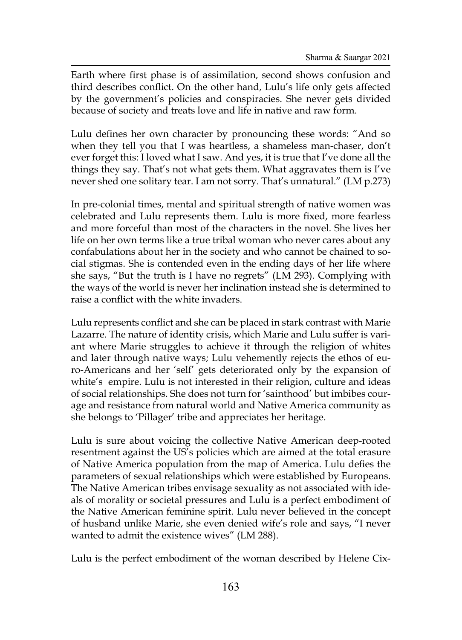Earth where first phase is of assimilation, second shows confusion and third describes conflict. On the other hand, Lulu's life only gets affected by the government's policies and conspiracies. She never gets divided because of society and treats love and life in native and raw form.

Lulu defines her own character by pronouncing these words: "And so when they tell you that I was heartless, a shameless man-chaser, don't ever forget this: I loved what I saw. And yes, it is true that I've done all the things they say. That's not what gets them. What aggravates them is I've never shed one solitary tear. I am not sorry. That's unnatural." (LM p.273)

In pre-colonial times, mental and spiritual strength of native women was celebrated and Lulu represents them. Lulu is more fixed, more fearless and more forceful than most of the characters in the novel. She lives her life on her own terms like a true tribal woman who never cares about any confabulations about her in the society and who cannot be chained to social stigmas. She is contended even in the ending days of her life where she says, "But the truth is I have no regrets" (LM 293). Complying with the ways of the world is never her inclination instead she is determined to raise a conflict with the white invaders.

Lulu represents conflict and she can be placed in stark contrast with Marie Lazarre. The nature of identity crisis, which Marie and Lulu suffer is variant where Marie struggles to achieve it through the religion of whites and later through native ways; Lulu vehemently rejects the ethos of euro-Americans and her 'self' gets deteriorated only by the expansion of white's empire. Lulu is not interested in their religion, culture and ideas of social relationships. She does not turn for 'sainthood' but imbibes courage and resistance from natural world and Native America community as she belongs to 'Pillager' tribe and appreciates her heritage.

Lulu is sure about voicing the collective Native American deep-rooted resentment against the US's policies which are aimed at the total erasure of Native America population from the map of America. Lulu defies the parameters of sexual relationships which were established by Europeans. The Native American tribes envisage sexuality as not associated with ideals of morality or societal pressures and Lulu is a perfect embodiment of the Native American feminine spirit. Lulu never believed in the concept of husband unlike Marie, she even denied wife's role and says, "I never wanted to admit the existence wives" (LM 288).

Lulu is the perfect embodiment of the woman described by Helene Cix-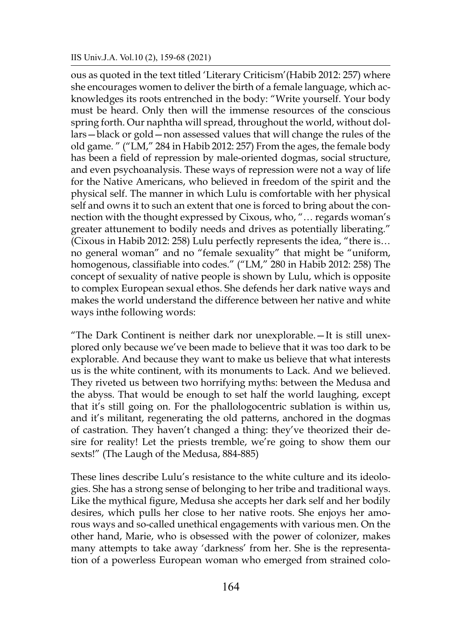ous as quoted in the text titled 'Literary Criticism'(Habib 2012: 257) where she encourages women to deliver the birth of a female language, which acknowledges its roots entrenched in the body: "Write yourself. Your body must be heard. Only then will the immense resources of the conscious spring forth. Our naphtha will spread, throughout the world, without dollars—black or gold—non assessed values that will change the rules of the old game. " ("LM," 284 in Habib 2012: 257) From the ages, the female body has been a field of repression by male-oriented dogmas, social structure, and even psychoanalysis. These ways of repression were not a way of life for the Native Americans, who believed in freedom of the spirit and the physical self. The manner in which Lulu is comfortable with her physical self and owns it to such an extent that one is forced to bring about the connection with the thought expressed by Cixous, who, "… regards woman's greater attunement to bodily needs and drives as potentially liberating." (Cixous in Habib 2012: 258) Lulu perfectly represents the idea, "there is… no general woman" and no "female sexuality" that might be "uniform, homogenous, classifiable into codes." ("LM," 280 in Habib 2012: 258) The concept of sexuality of native people is shown by Lulu, which is opposite to complex European sexual ethos. She defends her dark native ways and makes the world understand the difference between her native and white ways inthe following words:

"The Dark Continent is neither dark nor unexplorable.—It is still unexplored only because we've been made to believe that it was too dark to be explorable. And because they want to make us believe that what interests us is the white continent, with its monuments to Lack. And we believed. They riveted us between two horrifying myths: between the Medusa and the abyss. That would be enough to set half the world laughing, except that it's still going on. For the phallologocentric sublation is within us, and it's militant, regenerating the old patterns, anchored in the dogmas of castration. They haven't changed a thing: they've theorized their desire for reality! Let the priests tremble, we're going to show them our sexts!" (The Laugh of the Medusa, 884-885)

These lines describe Lulu's resistance to the white culture and its ideologies. She has a strong sense of belonging to her tribe and traditional ways. Like the mythical figure, Medusa she accepts her dark self and her bodily desires, which pulls her close to her native roots. She enjoys her amorous ways and so-called unethical engagements with various men. On the other hand, Marie, who is obsessed with the power of colonizer, makes many attempts to take away 'darkness' from her. She is the representation of a powerless European woman who emerged from strained colo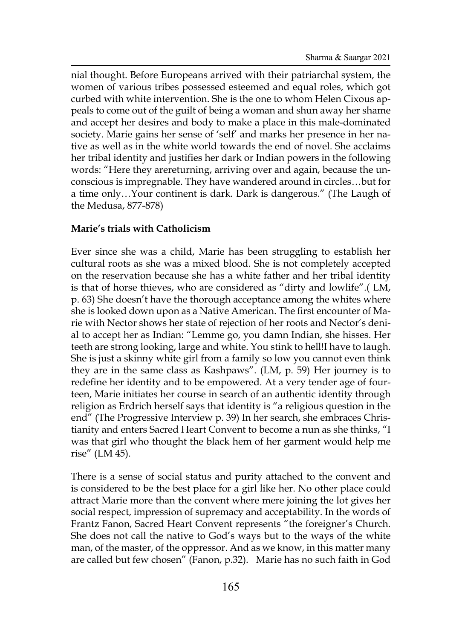nial thought. Before Europeans arrived with their patriarchal system, the women of various tribes possessed esteemed and equal roles, which got curbed with white intervention. She is the one to whom Helen Cixous appeals to come out of the guilt of being a woman and shun away her shame and accept her desires and body to make a place in this male-dominated society. Marie gains her sense of 'self' and marks her presence in her native as well as in the white world towards the end of novel. She acclaims her tribal identity and justifies her dark or Indian powers in the following words: "Here they arereturning, arriving over and again, because the unconscious is impregnable. They have wandered around in circles…but for a time only…Your continent is dark. Dark is dangerous." (The Laugh of the Medusa, 877-878)

### **Marie's trials with Catholicism**

Ever since she was a child, Marie has been struggling to establish her cultural roots as she was a mixed blood. She is not completely accepted on the reservation because she has a white father and her tribal identity is that of horse thieves, who are considered as "dirty and lowlife".( LM, p. 63) She doesn't have the thorough acceptance among the whites where she is looked down upon as a Native American. The first encounter of Marie with Nector shows her state of rejection of her roots and Nector's denial to accept her as Indian: "Lemme go, you damn Indian, she hisses. Her teeth are strong looking, large and white. You stink to hell!I have to laugh. She is just a skinny white girl from a family so low you cannot even think they are in the same class as Kashpaws". (LM, p. 59) Her journey is to redefine her identity and to be empowered. At a very tender age of fourteen, Marie initiates her course in search of an authentic identity through religion as Erdrich herself says that identity is "a religious question in the end" (The Progressive Interview p. 39) In her search, she embraces Christianity and enters Sacred Heart Convent to become a nun as she thinks, "I was that girl who thought the black hem of her garment would help me rise" (LM 45).

There is a sense of social status and purity attached to the convent and is considered to be the best place for a girl like her. No other place could attract Marie more than the convent where mere joining the lot gives her social respect, impression of supremacy and acceptability. In the words of Frantz Fanon, Sacred Heart Convent represents "the foreigner's Church. She does not call the native to God's ways but to the ways of the white man, of the master, of the oppressor. And as we know, in this matter many are called but few chosen" (Fanon, p.32). Marie has no such faith in God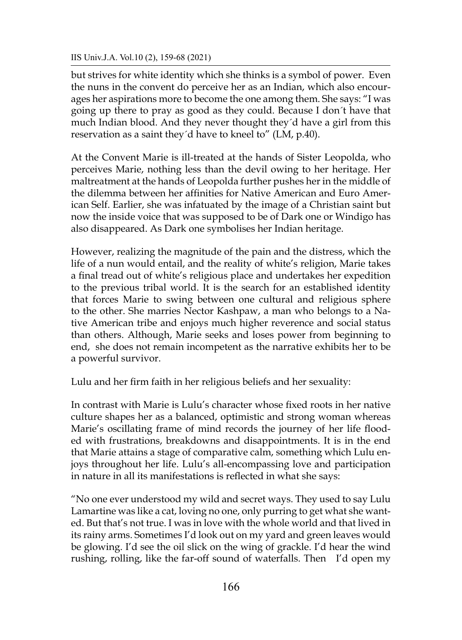IIS Univ.J.A. Vol.10 (2), 159-68 (2021)

but strives for white identity which she thinks is a symbol of power. Even the nuns in the convent do perceive her as an Indian, which also encourages her aspirations more to become the one among them. She says: "I was going up there to pray as good as they could. Because I don´t have that much Indian blood. And they never thought they´d have a girl from this reservation as a saint they´d have to kneel to" (LM, p.40).

At the Convent Marie is ill-treated at the hands of Sister Leopolda, who perceives Marie, nothing less than the devil owing to her heritage. Her maltreatment at the hands of Leopolda further pushes her in the middle of the dilemma between her affinities for Native American and Euro American Self. Earlier, she was infatuated by the image of a Christian saint but now the inside voice that was supposed to be of Dark one or Windigo has also disappeared. As Dark one symbolises her Indian heritage.

However, realizing the magnitude of the pain and the distress, which the life of a nun would entail, and the reality of white's religion, Marie takes a final tread out of white's religious place and undertakes her expedition to the previous tribal world. It is the search for an established identity that forces Marie to swing between one cultural and religious sphere to the other. She marries Nector Kashpaw, a man who belongs to a Native American tribe and enjoys much higher reverence and social status than others. Although, Marie seeks and loses power from beginning to end, she does not remain incompetent as the narrative exhibits her to be a powerful survivor.

Lulu and her firm faith in her religious beliefs and her sexuality:

In contrast with Marie is Lulu's character whose fixed roots in her native culture shapes her as a balanced, optimistic and strong woman whereas Marie's oscillating frame of mind records the journey of her life flooded with frustrations, breakdowns and disappointments. It is in the end that Marie attains a stage of comparative calm, something which Lulu enjoys throughout her life. Lulu's all-encompassing love and participation in nature in all its manifestations is reflected in what she says:

"No one ever understood my wild and secret ways. They used to say Lulu Lamartine was like a cat, loving no one, only purring to get what she wanted. But that's not true. I was in love with the whole world and that lived in its rainy arms. Sometimes I'd look out on my yard and green leaves would be glowing. I'd see the oil slick on the wing of grackle. I'd hear the wind rushing, rolling, like the far-off sound of waterfalls. Then I'd open my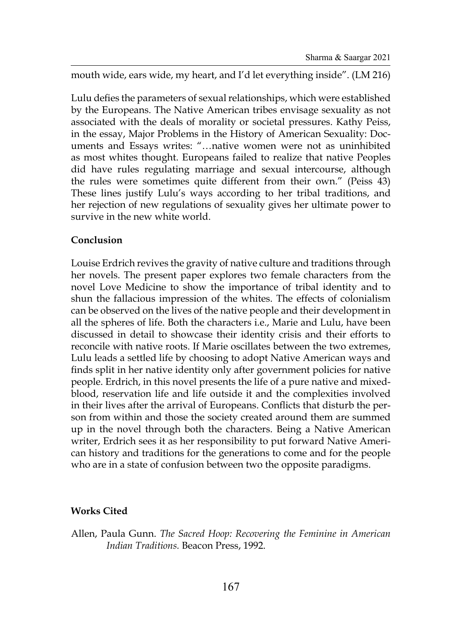mouth wide, ears wide, my heart, and I'd let everything inside". (LM 216)

Lulu defies the parameters of sexual relationships, which were established by the Europeans. The Native American tribes envisage sexuality as not associated with the deals of morality or societal pressures. Kathy Peiss, in the essay, Major Problems in the History of American Sexuality: Documents and Essays writes: "…native women were not as uninhibited as most whites thought. Europeans failed to realize that native Peoples did have rules regulating marriage and sexual intercourse, although the rules were sometimes quite different from their own." (Peiss 43) These lines justify Lulu's ways according to her tribal traditions, and her rejection of new regulations of sexuality gives her ultimate power to survive in the new white world.

### **Conclusion**

Louise Erdrich revives the gravity of native culture and traditions through her novels. The present paper explores two female characters from the novel Love Medicine to show the importance of tribal identity and to shun the fallacious impression of the whites. The effects of colonialism can be observed on the lives of the native people and their development in all the spheres of life. Both the characters i.e., Marie and Lulu, have been discussed in detail to showcase their identity crisis and their efforts to reconcile with native roots. If Marie oscillates between the two extremes, Lulu leads a settled life by choosing to adopt Native American ways and finds split in her native identity only after government policies for native people. Erdrich, in this novel presents the life of a pure native and mixedblood, reservation life and life outside it and the complexities involved in their lives after the arrival of Europeans. Conflicts that disturb the person from within and those the society created around them are summed up in the novel through both the characters. Being a Native American writer, Erdrich sees it as her responsibility to put forward Native American history and traditions for the generations to come and for the people who are in a state of confusion between two the opposite paradigms.

### **Works Cited**

Allen, Paula Gunn. *The Sacred Hoop: Recovering the Feminine in American Indian Traditions.* Beacon Press, 1992.